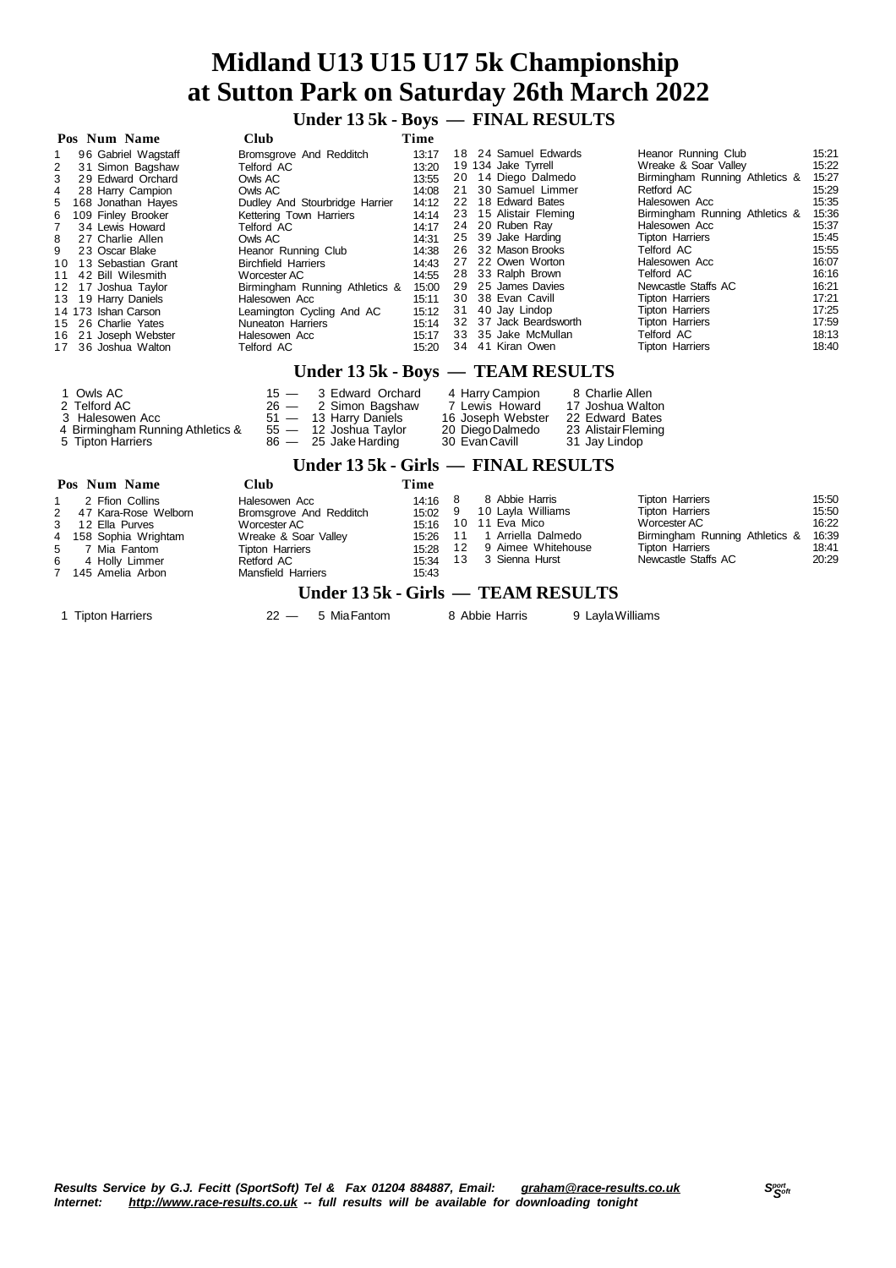# **Midland U13 U15 U17 5k Championship at Sutton Park on Saturday 26th March 2022**

 **Under 13 5k - Boys — FINAL RESULTS**

|   | Pos Num Name          | <b>Club</b>                    | Time  |                        |                                |       |
|---|-----------------------|--------------------------------|-------|------------------------|--------------------------------|-------|
|   | 96 Gabriel Wagstaff   | Bromsgrove And Redditch        | 13:17 | 18 24 Samuel Edwards   | Heanor Running Club            | 15:21 |
| 2 | 31 Simon Bagshaw      | Telford AC                     | 13:20 | 19 134 Jake Tyrrell    | Wreake & Soar Valley           | 15:22 |
| 3 | 29 Edward Orchard     | Owls AC                        | 13:55 | 20 14 Diego Dalmedo    | Birmingham Running Athletics & | 15:27 |
| 4 | 28 Harry Campion      | Owls AC                        | 14:08 | 21 30 Samuel Limmer    | Retford AC                     | 15:29 |
|   | 5 168 Jonathan Haves  | Dudley And Stourbridge Harrier | 14:12 | 22 18 Edward Bates     | Halesowen Acc                  | 15:35 |
| 6 | 109 Finley Brooker    | Kettering Town Harriers        | 14:14 | 23 15 Alistair Fleming | Birmingham Running Athletics & | 15:36 |
|   | 34 Lewis Howard       | Telford AC                     | 14:17 | 24 20 Ruben Rav        | Halesowen Acc                  | 15:37 |
| 8 | 27 Charlie Allen      | Owls AC                        | 14:31 | 25 39 Jake Harding     | Tipton Harriers                | 15:45 |
| 9 | 23 Oscar Blake        | Heanor Running Club            | 14:38 | 26 32 Mason Brooks     | Telford AC                     | 15:55 |
|   | 10 13 Sebastian Grant | <b>Birchfield Harriers</b>     | 14:43 | 27 22 Owen Worton      | Halesowen Acc                  | 16:07 |
|   | 11 42 Bill Wilesmith  | Worcester AC                   | 14:55 | 28 33 Ralph Brown      | Telford AC                     | 16:16 |
|   | 12 17 Joshua Taylor   | Birmingham Running Athletics & | 15:00 | 29 25 James Davies     | Newcastle Staffs AC            | 16:21 |
|   | 13 19 Harry Daniels   | Halesowen Acc                  | 15:11 | 30 38 Evan Cavill      | <b>Tipton Harriers</b>         | 17:21 |
|   | 14 173 Ishan Carson   | Leamington Cycling And AC      | 15:12 | 31 40 Jay Lindop       | <b>Tipton Harriers</b>         | 17:25 |
|   | 15 26 Charlie Yates   | Nuneaton Harriers              | 15:14 | 32 37 Jack Beardsworth | <b>Tipton Harriers</b>         | 17:59 |
|   | 16 21 Joseph Webster  | Halesowen Acc                  | 15:17 | 33 35 Jake McMullan    | Telford AC                     | 18:13 |
|   | 17 36 Joshua Walton   | Telford AC                     | 15:20 | 34 41 Kiran Owen       | <b>Tipton Harriers</b>         | 18:40 |

# **Under 13 5k - Boys — TEAM RESULTS**

| 1 Owls AC                        | $15 - 3$ Edward Orchard | 4 Harry Campion   | 8 Charlie Allen     |
|----------------------------------|-------------------------|-------------------|---------------------|
| 2 Telford AC                     | $26 - 2$ Simon Bagshaw  | 7 Lewis Howard    | 17 Joshua Walton    |
| 3 Halesowen Acc                  | 51 - 13 Harry Daniels   | 16 Joseph Webster | 22 Edward Bates     |
| 4 Birmingham Running Athletics & | 55 — 12 Joshua Taylor   | 20 Diego Dalmedo  | 23 Alistair Fleming |
| 5 Tipton Harriers                | 86 — 25 Jake Harding    | 30 Evan Cavill    | 31 Jay Lindop       |

# **Under 13 5k - Girls — FINAL RESULTS**

|           | Pos Num Name           | Club                      | Time      |     |                                    |                                |       |
|-----------|------------------------|---------------------------|-----------|-----|------------------------------------|--------------------------------|-------|
| $1 \quad$ | 2 Ffion Collins        | Halesowen Acc             | $14:16$ 8 |     | 8 Abbie Harris                     | <b>Tipton Harriers</b>         | 15:50 |
|           | 2 47 Kara-Rose Welborn | Bromsgrove And Redditch   | 15:02 9   |     | 10 Layla Williams                  | <b>Tipton Harriers</b>         | 15:50 |
|           | 3 12 Ella Purves       | Worcester AC              | 15:16     |     | 10 11 Eva Mico                     | Worcester AC                   | 16:22 |
|           | 4 158 Sophia Wrightam  | Wreake & Soar Valley      | 15.26     | -11 | 1 Arriella Dalmedo                 | Birmingham Running Athletics & | 16:39 |
|           | 5 7 Mia Fantom         | <b>Tipton Harriers</b>    | 15:28 12  |     | 9 Aimee Whitehouse                 | <b>Tipton Harriers</b>         | 18:41 |
|           | 6 4 Holly Limmer       | Retford AC                | 15:34     |     | 13 3 Sienna Hurst                  | Newcastle Staffs AC            | 20:29 |
|           | 7 145 Amelia Arbon     | <b>Mansfield Harriers</b> | 15:43     |     |                                    |                                |       |
|           |                        |                           |           |     | Under 13 5k - Girls — TEAM RESULTS |                                |       |

1 Tipton Harriers **22 — 5 Mia Fantom** 8 Abbie Harris 9 Layla Williams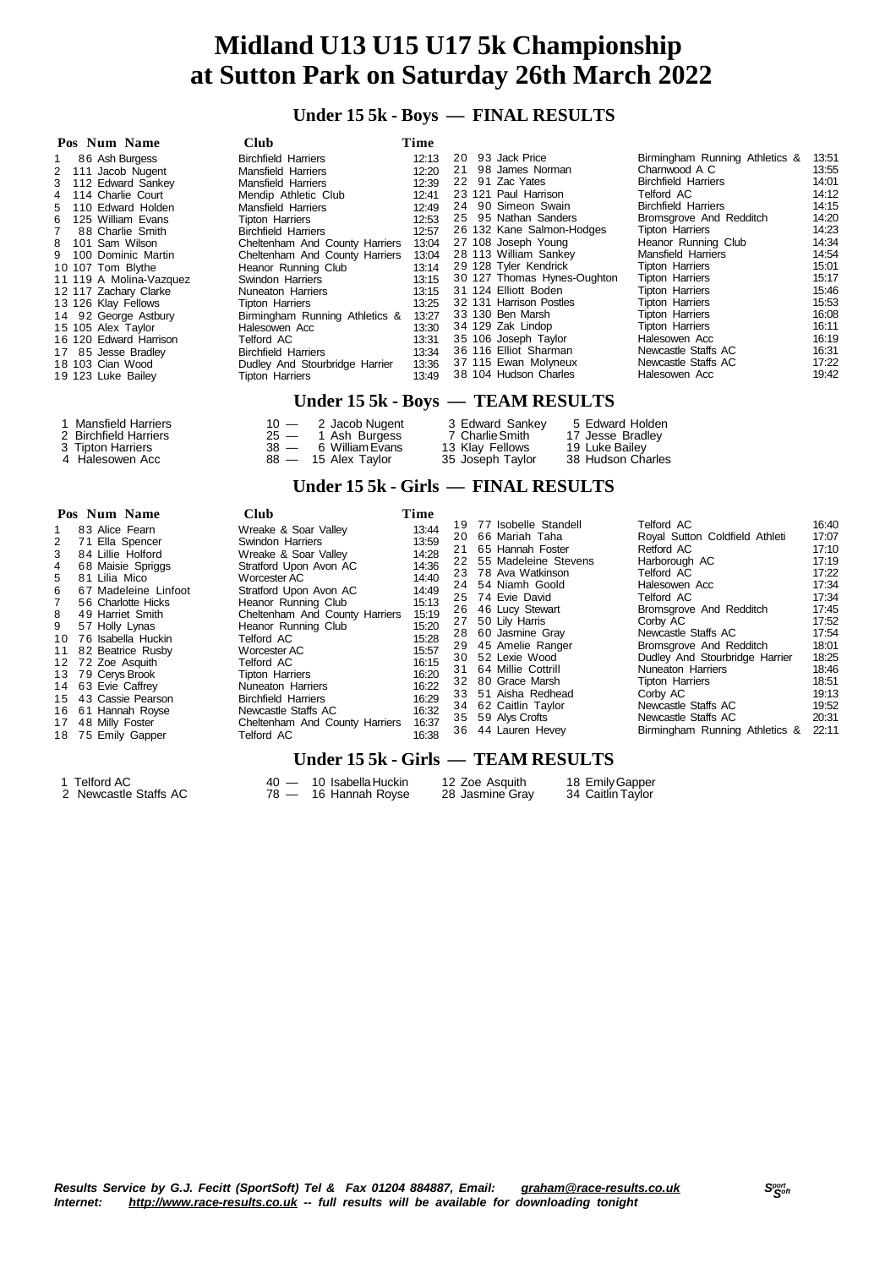# **Midland U13 U15 U17 5k Championship at Sutton Park on Saturday 26th March 2022**

# **Under 15 5k - Boys — FINAL RESULTS**

| Pos Num Name                | <b>Club</b>                    | Time  |                             |                                |       |
|-----------------------------|--------------------------------|-------|-----------------------------|--------------------------------|-------|
| 86 Ash Burgess<br>$1 \quad$ | <b>Birchfield Harriers</b>     | 12:13 | 20 93 Jack Price            | Birmingham Running Athletics & | 13:51 |
| 2 111 Jacob Nugent          | <b>Mansfield Harriers</b>      | 12:20 | 21 98 James Norman          | Charnwood A C                  | 13:55 |
| 3 112 Edward Sankey         | <b>Mansfield Harriers</b>      | 12:39 | 22 91 Zac Yates             | <b>Birchfield Harriers</b>     | 14:01 |
| 4 114 Charlie Court         | Mendip Athletic Club           | 12:41 | 23 121 Paul Harrison        | Telford AC                     | 14:12 |
| 5 110 Edward Holden         | <b>Mansfield Harriers</b>      | 12:49 | 24 90 Simeon Swain          | <b>Birchfield Harriers</b>     | 14:15 |
| 6 125 William Evans         | <b>Tipton Harriers</b>         | 12:53 | 25 95 Nathan Sanders        | Bromsgrove And Redditch        | 14:20 |
| 7 88 Charlie Smith          | <b>Birchfield Harriers</b>     | 12:57 | 26 132 Kane Salmon-Hodges   | <b>Tipton Harriers</b>         | 14:23 |
| 8 101 Sam Wilson            | Cheltenham And County Harriers | 13:04 | 27 108 Joseph Young         | Heanor Running Club            | 14:34 |
| 9 100 Dominic Martin        | Cheltenham And County Harriers | 13:04 | 28 113 William Sankey       | <b>Mansfield Harriers</b>      | 14:54 |
| 10 107 Tom Blythe           | Heanor Running Club            | 13:14 | 29 128 Tyler Kendrick       | <b>Tipton Harriers</b>         | 15:01 |
| 11 119 A Molina-Vazquez     | Swindon Harriers               | 13:15 | 30 127 Thomas Hynes-Oughton | Tipton Harriers                | 15:17 |
| 12 117 Zachary Clarke       | Nuneaton Harriers              | 13:15 | 31 124 Elliott Boden        | Tipton Harriers                | 15:46 |
| 13 126 Klay Fellows         | Tipton Harriers                | 13:25 | 32 131 Harrison Postles     | <b>Tipton Harriers</b>         | 15:53 |
| 14 92 George Astbury        | Birmingham Running Athletics & | 13:27 | 33 130 Ben Marsh            | <b>Tipton Harriers</b>         | 16:08 |
| 15 105 Alex Taylor          | Halesowen Acc                  | 13:30 | 34 129 Zak Lindop           | <b>Tipton Harriers</b>         | 16:11 |
| 16 120 Edward Harrison      | Telford AC                     | 13:31 | 35 106 Joseph Taylor        | Halesowen Acc                  | 16:19 |
| 17 85 Jesse Bradley         | <b>Birchfield Harriers</b>     | 13:34 | 36 116 Elliot Sharman       | Newcastle Staffs AC            | 16:31 |
| 18 103 Cian Wood            | Dudley And Stourbridge Harrier | 13:36 | 37 115 Ewan Molyneux        | Newcastle Staffs AC            | 17:22 |
| 19 123 Luke Bailey          | <b>Tipton Harriers</b>         | 13:49 | 38 104 Hudson Charles       | Halesowen Acc                  | 19:42 |

### **Under 15 5k - Boys — TEAM RESULTS**

| 1 Mansfield Harriers  | $10 - 2$ Jacob Nugent | 3 Edward Sankey  | 5 Edward Holden   |
|-----------------------|-----------------------|------------------|-------------------|
| 2 Birchfield Harriers | $25 - 1$ Ash Burgess  | 7 Charlie Smith  | 17 Jesse Bradley  |
| 3 Tipton Harriers     | 38 — 6 William Evans  | 13 Klay Fellows  | 19 Luke Bailev    |
| 4 Halesowen Acc       | 88 - 15 Alex Taylor   | 35 Joseph Taylor | 38 Hudson Charles |

## **Under 15 5k - Girls — FINAL RESULTS**

|     | Pos Num Name          | <b>Club</b>                    | Time  |                         |                                |       |
|-----|-----------------------|--------------------------------|-------|-------------------------|--------------------------------|-------|
|     | 83 Alice Fearn        | Wreake & Soar Valley           | 13:44 | 19 77 Isobelle Standell | Telford AC                     | 16:40 |
|     |                       |                                |       | 20 66 Mariah Taha       | Royal Sutton Coldfield Athleti | 17:07 |
| 2   | 71 Ella Spencer       | Swindon Harriers               | 13:59 | 21 65 Hannah Foster     | Retford AC                     | 17:10 |
| 3   | 84 Lillie Holford     | Wreake & Soar Valley           | 14:28 | 22 55 Madeleine Stevens | Harborough AC                  | 17:19 |
| 4   | 68 Maisie Spriggs     | Stratford Upon Avon AC         | 14:36 |                         |                                |       |
| 5.  | 81 Lilia Mico         | Worcester AC                   | 14:40 | 23 78 Ava Watkinson     | Telford AC                     | 17:22 |
| 6 — | 67 Madeleine Linfoot  | Stratford Upon Avon AC         | 14:49 | 24 54 Niamh Goold       | Halesowen Acc                  | 17:34 |
|     | 56 Charlotte Hicks    | Heanor Running Club            | 15:13 | 25 74 Evie David        | Telford AC                     | 17:34 |
| 8   | 49 Harriet Smith      | Cheltenham And County Harriers | 15:19 | 26 46 Lucy Stewart      | Bromsgrove And Redditch        | 17:45 |
|     |                       |                                |       | 27 50 Lily Harris       | Corby AC                       | 17:52 |
| 9   | 57 Holly Lynas        | Heanor Running Club            | 15:20 | 28 60 Jasmine Gray      | Newcastle Staffs AC            | 17:54 |
|     | 10 76 Isabella Huckin | Telford AC                     | 15:28 | 29 45 Amelie Ranger     | Bromsgrove And Redditch        | 18:01 |
|     | 11 82 Beatrice Rusby  | Worcester AC                   | 15:57 |                         |                                | 18:25 |
|     | 12 72 Zoe Asquith     | Telford AC                     | 16:15 | 30 52 Lexie Wood        | Dudley And Stourbridge Harrier |       |
|     | 13 79 Cerys Brook     | <b>Tipton Harriers</b>         | 16:20 | 31 64 Millie Cottrill   | Nuneaton Harriers              | 18:46 |
|     | 14 63 Evie Caffrey    | Nuneaton Harriers              | 16:22 | 32 80 Grace Marsh       | <b>Tipton Harriers</b>         | 18:51 |
|     | 15 43 Cassie Pearson  | <b>Birchfield Harriers</b>     | 16:29 | 33 51 Aisha Redhead     | Corby AC                       | 19:13 |
|     | 16 61 Hannah Royse    | Newcastle Staffs AC            |       | 34 62 Caitlin Taylor    | Newcastle Staffs AC            | 19:52 |
|     |                       |                                | 16:32 | 35 59 Alys Crofts       | Newcastle Staffs AC            | 20:31 |
|     | 17 48 Milly Foster    | Cheltenham And County Harriers | 16:37 | 36 44 Lauren Hevey      | Birmingham Running Athletics & | 22:11 |
|     | 18 75 Emily Gapper    | Telford AC                     | 16:38 |                         |                                |       |

# **Under 15 5k - Girls — TEAM RESULTS**

| 1 Telford AC          | 40 — 10 Isabella Huckin | 12 Zoe Asauith  | 18 Emily Gapper   |
|-----------------------|-------------------------|-----------------|-------------------|
| 2 Newcastle Staffs AC | 78 — 16 Hannah Royse    | 28 Jasmine Gray | 34 Caitlin Taylor |

| 4  | 68 Maisie Spriggs   |
|----|---------------------|
| 5  | 81 Lilia Mico       |
| 6  | 67 Madeleine Linfod |
| 7  | 56 Charlotte Hicks  |
| 8  | 49 Harriet Smith    |
| 9  | 57 Holly Lynas      |
| 10 | 76 Isabella Huckin  |
| 11 | 82 Beatrice Rusby   |
| 12 | 72 Zoe Asquith      |
| 13 | 79 Cerys Brook      |
| 14 | 63 Evie Caffrey     |
| 15 | 43 Cassie Pearson   |
| 16 | 61 Hannah Royse     |
| 17 | 48 Milly Foster     |
| 18 | 75 Emily Gapper     |
|    |                     |

| 1 Telford AC           |  |
|------------------------|--|
| 2 Nouveastle Ctaffe AC |  |

#### 2 Newcastle Staffs AC